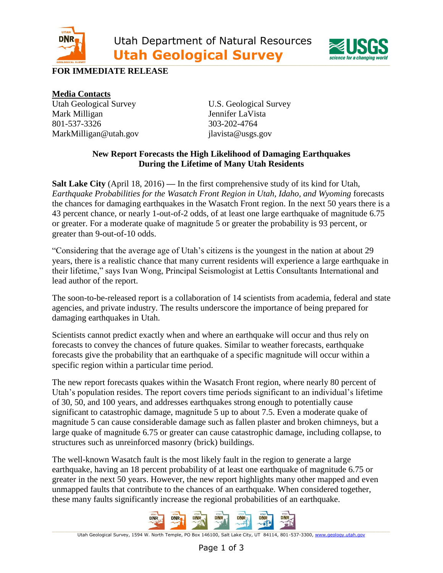



## **FOR IMMEDIATE RELEASE**

**Media Contacts** Utah Geological Survey U.S. Geological Survey Mark Milligan Jennifer LaVista 801-537-3326 303-202-4764 MarkMilligan@utah.gov jlavista@usgs.gov

## **New Report Forecasts the High Likelihood of Damaging Earthquakes During the Lifetime of Many Utah Residents**

**Salt Lake City** (April 18, 2016) **—** In the first comprehensive study of its kind for Utah, *Earthquake Probabilities for the Wasatch Front Region in Utah, Idaho, and Wyoming* forecasts the chances for damaging earthquakes in the Wasatch Front region. In the next 50 years there is a 43 percent chance, or nearly 1-out-of-2 odds, of at least one large earthquake of magnitude 6.75 or greater. For a moderate quake of magnitude 5 or greater the probability is 93 percent, or greater than 9-out-of-10 odds.

"Considering that the average age of Utah's citizens is the youngest in the nation at about 29 years, there is a realistic chance that many current residents will experience a large earthquake in their lifetime," says Ivan Wong, Principal Seismologist at Lettis Consultants International and lead author of the report.

The soon-to-be-released report is a collaboration of 14 scientists from academia, federal and state agencies, and private industry. The results underscore the importance of being prepared for damaging earthquakes in Utah.

Scientists cannot predict exactly when and where an earthquake will occur and thus rely on forecasts to convey the chances of future quakes. Similar to weather forecasts, earthquake forecasts give the probability that an earthquake of a specific magnitude will occur within a specific region within a particular time period.

The new report forecasts quakes within the Wasatch Front region, where nearly 80 percent of Utah's population resides. The report covers time periods significant to an individual's lifetime of 30, 50, and 100 years, and addresses earthquakes strong enough to potentially cause significant to catastrophic damage, magnitude 5 up to about 7.5. Even a moderate quake of magnitude 5 can cause considerable damage such as fallen plaster and broken chimneys, but a large quake of magnitude 6.75 or greater can cause catastrophic damage, including collapse, to structures such as unreinforced masonry (brick) buildings.

The well-known Wasatch fault is the most likely fault in the region to generate a large earthquake, having an 18 percent probability of at least one earthquake of magnitude 6.75 or greater in the next 50 years. However, the new report highlights many other mapped and even unmapped faults that contribute to the chances of an earthquake. When considered together, these many faults significantly increase the regional probabilities of an earthquake.



Utah Geological Survey, 1594 W. North Temple, PO Box 146100, Salt Lake City, UT 84114, 801-537-3300[, www.geology.utah.gov](http://www.geology.utah.gov/)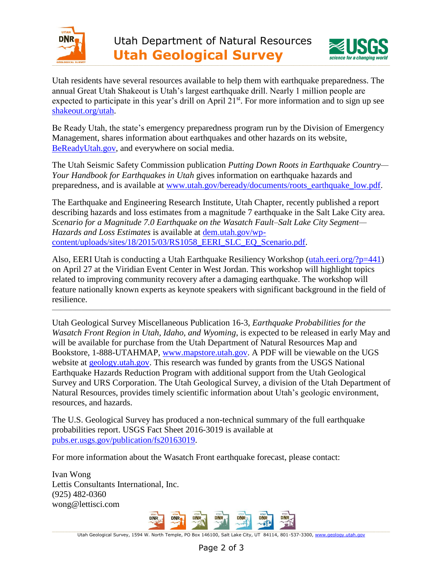



Utah residents have several resources available to help them with earthquake preparedness. The annual Great Utah Shakeout is Utah's largest earthquake drill. Nearly 1 million people are expected to participate in this year's drill on April 21<sup>st</sup>. For more information and to sign up see [shakeout.org/utah.](http://shakeout.org/utah/)

Be Ready Utah, the state's emergency preparedness program run by the Division of Emergency Management, shares information about earthquakes and other hazards on its website, [BeReadyUtah.gov,](http://www.utah.gov/beready/index.html) and everywhere on social media.

The Utah Seismic Safety Commission publication *Putting Down Roots in Earthquake Country— Your Handbook for Earthquakes in Utah* gives information on earthquake hazards and preparedness, and is available at [www.utah.gov/beready/documents/roots\\_earthquake\\_low.pdf.](http://www.utah.gov/beready/documents/roots_earthquake_low.pdf)

The Earthquake and Engineering Research Institute, Utah Chapter, recently published a report describing hazards and loss estimates from a magnitude 7 earthquake in the Salt Lake City area. *Scenario for a Magnitude 7.0 Earthquake on the Wasatch Fault–Salt Lake City Segment— Hazards and Loss Estimates* is available at [dem.utah.gov/wp](http://dem.utah.gov/wp-content/uploads/sites/18/2015/03/RS1058_EERI_SLC_EQ_Scenario.pdf)[content/uploads/sites/18/2015/03/RS1058\\_EERI\\_SLC\\_EQ\\_Scenario.pdf.](http://dem.utah.gov/wp-content/uploads/sites/18/2015/03/RS1058_EERI_SLC_EQ_Scenario.pdf)

Also, EERI Utah is conducting a Utah Earthquake Resiliency Workshop [\(utah.eeri.org/?p=441\)](http://utah.eeri.org/?p=441) on April 27 at the Viridian Event Center in West Jordan. This workshop will highlight topics related to improving community recovery after a damaging earthquake. The workshop will feature nationally known experts as keynote speakers with significant background in the field of resilience.

\_\_\_\_\_\_\_\_\_\_\_\_\_\_\_\_\_\_\_\_\_\_\_\_\_\_\_\_\_\_\_\_\_\_\_\_\_\_\_\_\_\_\_\_\_\_\_\_\_\_\_\_\_\_\_\_\_\_\_\_\_\_\_\_\_\_\_\_\_\_\_\_\_\_\_\_\_\_\_\_\_\_\_\_\_\_\_\_\_\_\_\_\_\_\_\_\_\_\_\_\_\_\_\_\_\_\_\_\_\_\_\_\_\_\_\_\_

Utah Geological Survey Miscellaneous Publication 16-3, *Earthquake Probabilities for the Wasatch Front Region in Utah, Idaho, and Wyoming*, is expected to be released in early May and will be available for purchase from the Utah Department of Natural Resources Map and Bookstore, 1-888-UTAHMAP, [www.mapstore.utah.gov.](http://www.mapstore.utah.gov/) A PDF will be viewable on the UGS website at [geology.utah.gov.](http://geology.utah.gov/) This research was funded by grants from the USGS National Earthquake Hazards Reduction Program with additional support from the Utah Geological Survey and URS Corporation. The Utah Geological Survey, a division of the Utah Department of Natural Resources, provides timely scientific information about Utah's geologic environment, resources, and hazards.

The U.S. Geological Survey has produced a non-technical summary of the full earthquake probabilities report. USGS Fact Sheet 2016-3019 is available at [pubs.er.usgs.gov/publication/fs20163019.](https://pubs.er.usgs.gov/publication/fs20163019)

For more information about the Wasatch Front earthquake forecast, please contact:

Ivan Wong Lettis Consultants International, Inc. (925) 482-0360 [wong@lettisci.com](mailto:wong@lettisci.com)



Utah Geological Survey, 1594 W. North Temple, PO Box 146100, Salt Lake City, UT 84114, 801-537-3300[, www.geology.utah.gov](http://www.geology.utah.gov/)